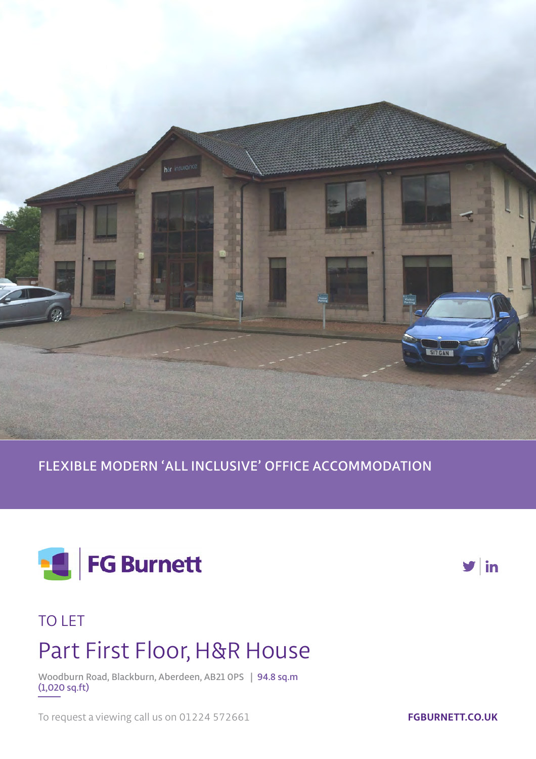

**FLEXIBLE MODERN 'ALL INCLUSIVE' OFFICE ACCOMMODATION**





## TO LET

# Part First Floor, H&R House

**Woodburn Road, Blackburn, Aberdeen, AB21 0PS | 94.8 sq.m (1,020 sq.ft)**

To request a viewing call us on 01224 572661

**FGBURNETT.CO.UK**